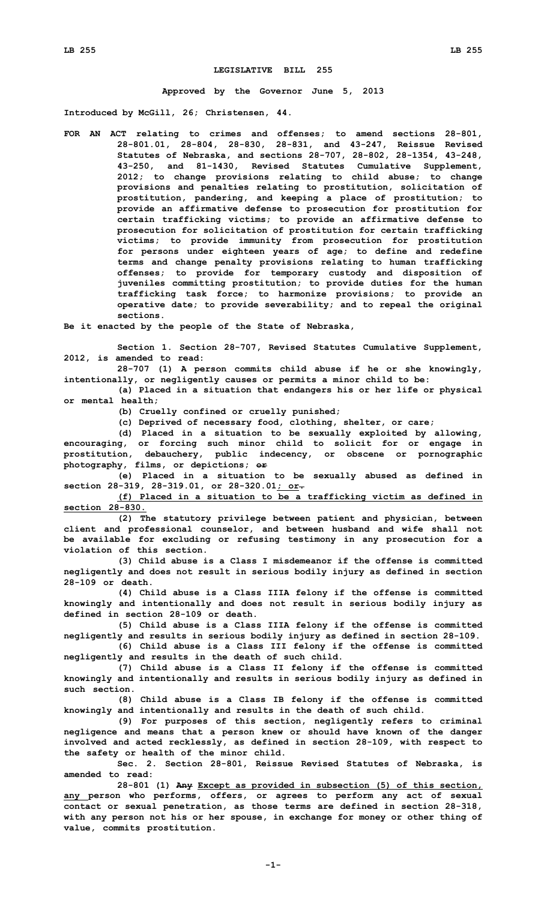## **LEGISLATIVE BILL 255**

**Approved by the Governor June 5, 2013**

**Introduced by McGill, 26; Christensen, 44.**

**FOR AN ACT relating to crimes and offenses; to amend sections 28-801, 28-801.01, 28-804, 28-830, 28-831, and 43-247, Reissue Revised Statutes of Nebraska, and sections 28-707, 28-802, 28-1354, 43-248, 43-250, and 81-1430, Revised Statutes Cumulative Supplement, 2012; to change provisions relating to child abuse; to change provisions and penalties relating to prostitution, solicitation of prostitution, pandering, and keeping <sup>a</sup> place of prostitution; to provide an affirmative defense to prosecution for prostitution for certain trafficking victims; to provide an affirmative defense to prosecution for solicitation of prostitution for certain trafficking victims; to provide immunity from prosecution for prostitution for persons under eighteen years of age; to define and redefine terms and change penalty provisions relating to human trafficking offenses; to provide for temporary custody and disposition of juveniles committing prostitution; to provide duties for the human trafficking task force; to harmonize provisions; to provide an operative date; to provide severability; and to repeal the original sections.**

**Be it enacted by the people of the State of Nebraska,**

**Section 1. Section 28-707, Revised Statutes Cumulative Supplement, 2012, is amended to read:**

**28-707 (1) <sup>A</sup> person commits child abuse if he or she knowingly, intentionally, or negligently causes or permits <sup>a</sup> minor child to be:**

**(a) Placed in <sup>a</sup> situation that endangers his or her life or physical or mental health;**

**(b) Cruelly confined or cruelly punished;**

**(c) Deprived of necessary food, clothing, shelter, or care;**

**(d) Placed in <sup>a</sup> situation to be sexually exploited by allowing, encouraging, or forcing such minor child to solicit for or engage in prostitution, debauchery, public indecency, or obscene or pornographic photography, films, or depictions; or**

**(e) Placed in <sup>a</sup> situation to be sexually abused as defined in section 28-319, 28-319.01, or 28-320.01; or.**

**(f) Placed in <sup>a</sup> situation to be <sup>a</sup> trafficking victim as defined in section 28-830.**

**(2) The statutory privilege between patient and physician, between client and professional counselor, and between husband and wife shall not be available for excluding or refusing testimony in any prosecution for <sup>a</sup> violation of this section.**

**(3) Child abuse is <sup>a</sup> Class I misdemeanor if the offense is committed negligently and does not result in serious bodily injury as defined in section 28-109 or death.**

**(4) Child abuse is <sup>a</sup> Class IIIA felony if the offense is committed knowingly and intentionally and does not result in serious bodily injury as defined in section 28-109 or death.**

**(5) Child abuse is <sup>a</sup> Class IIIA felony if the offense is committed negligently and results in serious bodily injury as defined in section 28-109.**

**(6) Child abuse is <sup>a</sup> Class III felony if the offense is committed negligently and results in the death of such child.**

**(7) Child abuse is <sup>a</sup> Class II felony if the offense is committed knowingly and intentionally and results in serious bodily injury as defined in such section.**

**(8) Child abuse is <sup>a</sup> Class IB felony if the offense is committed knowingly and intentionally and results in the death of such child.**

**(9) For purposes of this section, negligently refers to criminal negligence and means that <sup>a</sup> person knew or should have known of the danger involved and acted recklessly, as defined in section 28-109, with respect to the safety or health of the minor child.**

**Sec. 2. Section 28-801, Reissue Revised Statutes of Nebraska, is amended to read:**

**28-801 (1) Any Except as provided in subsection (5) of this section, any person who performs, offers, or agrees to perform any act of sexual contact or sexual penetration, as those terms are defined in section 28-318, with any person not his or her spouse, in exchange for money or other thing of value, commits prostitution.**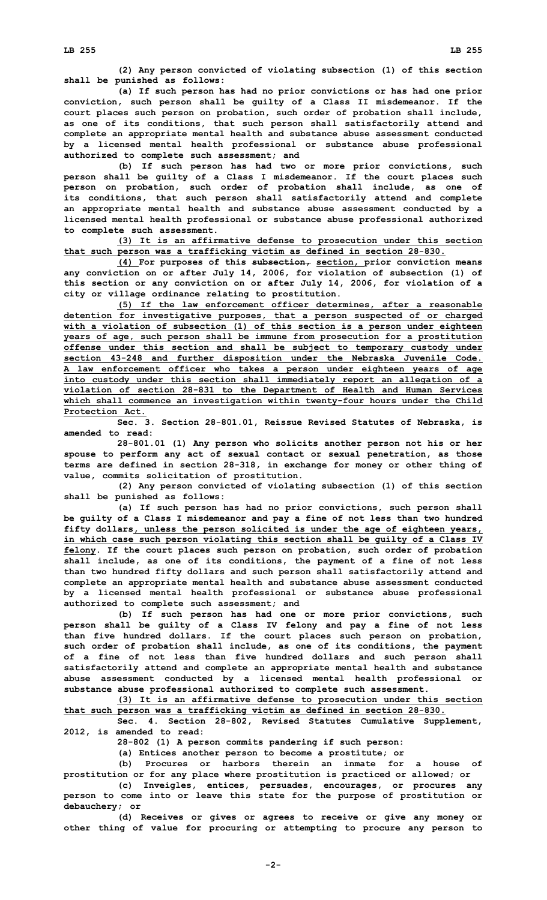**(2) Any person convicted of violating subsection (1) of this section shall be punished as follows:**

**(a) If such person has had no prior convictions or has had one prior conviction, such person shall be guilty of <sup>a</sup> Class II misdemeanor. If the court places such person on probation, such order of probation shall include, as one of its conditions, that such person shall satisfactorily attend and complete an appropriate mental health and substance abuse assessment conducted by <sup>a</sup> licensed mental health professional or substance abuse professional authorized to complete such assessment; and**

**(b) If such person has had two or more prior convictions, such person shall be guilty of <sup>a</sup> Class I misdemeanor. If the court places such person on probation, such order of probation shall include, as one of its conditions, that such person shall satisfactorily attend and complete an appropriate mental health and substance abuse assessment conducted by <sup>a</sup> licensed mental health professional or substance abuse professional authorized to complete such assessment.**

**(3) It is an affirmative defense to prosecution under this section that such person was <sup>a</sup> trafficking victim as defined in section 28-830.**

**(4) For purposes of this subsection, section, prior conviction means any conviction on or after July 14, 2006, for violation of subsection (1) of this section or any conviction on or after July 14, 2006, for violation of <sup>a</sup> city or village ordinance relating to prostitution.**

**(5) If the law enforcement officer determines, after <sup>a</sup> reasonable detention for investigative purposes, that <sup>a</sup> person suspected of or charged with <sup>a</sup> violation of subsection (1) of this section is <sup>a</sup> person under eighteen years of age, such person shall be immune from prosecution for <sup>a</sup> prostitution offense under this section and shall be subject to temporary custody under section 43-248 and further disposition under the Nebraska Juvenile Code. A law enforcement officer who takes <sup>a</sup> person under eighteen years of age into custody under this section shall immediately report an allegation of <sup>a</sup> violation of section 28-831 to the Department of Health and Human Services which shall commence an investigation within twenty-four hours under the Child Protection Act.**

**Sec. 3. Section 28-801.01, Reissue Revised Statutes of Nebraska, is amended to read:**

**28-801.01 (1) Any person who solicits another person not his or her spouse to perform any act of sexual contact or sexual penetration, as those terms are defined in section 28-318, in exchange for money or other thing of value, commits solicitation of prostitution.**

**(2) Any person convicted of violating subsection (1) of this section shall be punished as follows:**

**(a) If such person has had no prior convictions, such person shall be guilty of <sup>a</sup> Class I misdemeanor and pay <sup>a</sup> fine of not less than two hundred fifty dollars, unless the person solicited is under the age of eighteen years, in which case such person violating this section shall be guilty of <sup>a</sup> Class IV felony. If the court places such person on probation, such order of probation shall include, as one of its conditions, the payment of <sup>a</sup> fine of not less than two hundred fifty dollars and such person shall satisfactorily attend and complete an appropriate mental health and substance abuse assessment conducted by <sup>a</sup> licensed mental health professional or substance abuse professional authorized to complete such assessment; and**

**(b) If such person has had one or more prior convictions, such person shall be guilty of <sup>a</sup> Class IV felony and pay <sup>a</sup> fine of not less than five hundred dollars. If the court places such person on probation, such order of probation shall include, as one of its conditions, the payment of <sup>a</sup> fine of not less than five hundred dollars and such person shall satisfactorily attend and complete an appropriate mental health and substance abuse assessment conducted by <sup>a</sup> licensed mental health professional or substance abuse professional authorized to complete such assessment.**

**(3) It is an affirmative defense to prosecution under this section that such person was <sup>a</sup> trafficking victim as defined in section 28-830.**

**Sec. 4. Section 28-802, Revised Statutes Cumulative Supplement, 2012, is amended to read:**

**28-802 (1) <sup>A</sup> person commits pandering if such person:**

**(a) Entices another person to become <sup>a</sup> prostitute; or**

**(b) Procures or harbors therein an inmate for <sup>a</sup> house of prostitution or for any place where prostitution is practiced or allowed; or**

**(c) Inveigles, entices, persuades, encourages, or procures any person to come into or leave this state for the purpose of prostitution or debauchery; or**

**(d) Receives or gives or agrees to receive or give any money or other thing of value for procuring or attempting to procure any person to**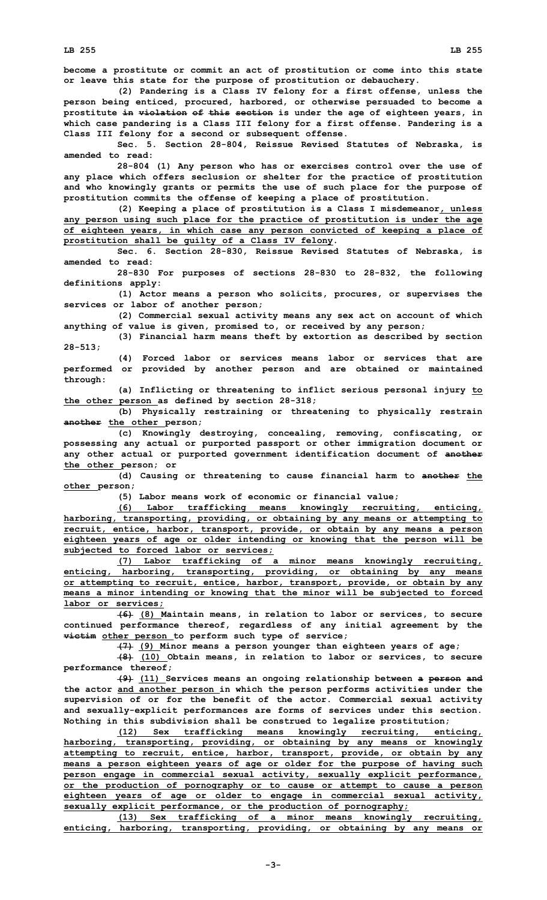**LB 255 LB 255**

**become <sup>a</sup> prostitute or commit an act of prostitution or come into this state or leave this state for the purpose of prostitution or debauchery.**

**(2) Pandering is <sup>a</sup> Class IV felony for <sup>a</sup> first offense, unless the person being enticed, procured, harbored, or otherwise persuaded to become <sup>a</sup> prostitute in violation of this section is under the age of eighteen years, in which case pandering is <sup>a</sup> Class III felony for <sup>a</sup> first offense. Pandering is <sup>a</sup> Class III felony for <sup>a</sup> second or subsequent offense.**

**Sec. 5. Section 28-804, Reissue Revised Statutes of Nebraska, is amended to read:**

**28-804 (1) Any person who has or exercises control over the use of any place which offers seclusion or shelter for the practice of prostitution and who knowingly grants or permits the use of such place for the purpose of prostitution commits the offense of keeping <sup>a</sup> place of prostitution.**

**(2) Keeping <sup>a</sup> place of prostitution is <sup>a</sup> Class <sup>I</sup> misdemeanor, unless any person using such place for the practice of prostitution is under the age of eighteen years, in which case any person convicted of keeping <sup>a</sup> place of prostitution shall be guilty of <sup>a</sup> Class IV felony.**

**Sec. 6. Section 28-830, Reissue Revised Statutes of Nebraska, is amended to read:**

**28-830 For purposes of sections 28-830 to 28-832, the following definitions apply:**

**(1) Actor means <sup>a</sup> person who solicits, procures, or supervises the services or labor of another person;**

**(2) Commercial sexual activity means any sex act on account of which anything of value is given, promised to, or received by any person;**

**(3) Financial harm means theft by extortion as described by section 28-513;**

**(4) Forced labor or services means labor or services that are performed or provided by another person and are obtained or maintained through:**

**(a) Inflicting or threatening to inflict serious personal injury to the other person as defined by section 28-318;**

**(b) Physically restraining or threatening to physically restrain another the other person;**

**(c) Knowingly destroying, concealing, removing, confiscating, or possessing any actual or purported passport or other immigration document or any other actual or purported government identification document of another the other person; or**

**(d) Causing or threatening to cause financial harm to another the other person;**

**(5) Labor means work of economic or financial value;**

**(6) Labor trafficking means knowingly recruiting, enticing, harboring, transporting, providing, or obtaining by any means or attempting to recruit, entice, harbor, transport, provide, or obtain by any means <sup>a</sup> person eighteen years of age or older intending or knowing that the person will be subjected to forced labor or services;**

**(7) Labor trafficking of <sup>a</sup> minor means knowingly recruiting, enticing, harboring, transporting, providing, or obtaining by any means or attempting to recruit, entice, harbor, transport, provide, or obtain by any means <sup>a</sup> minor intending or knowing that the minor will be subjected to forced labor or services;**

**(6) (8) Maintain means, in relation to labor or services, to secure continued performance thereof, regardless of any initial agreement by the victim other person to perform such type of service;**

**(7) (9) Minor means <sup>a</sup> person younger than eighteen years of age;**

**(8) (10) Obtain means, in relation to labor or services, to secure performance thereof;**

**(9) (11) Services means an ongoing relationship between <sup>a</sup> person and the actor and another person in which the person performs activities under the supervision of or for the benefit of the actor. Commercial sexual activity and sexually-explicit performances are forms of services under this section. Nothing in this subdivision shall be construed to legalize prostitution;**

**(12) Sex trafficking means knowingly recruiting, enticing, harboring, transporting, providing, or obtaining by any means or knowingly attempting to recruit, entice, harbor, transport, provide, or obtain by any means <sup>a</sup> person eighteen years of age or older for the purpose of having such person engage in commercial sexual activity, sexually explicit performance, or the production of pornography or to cause or attempt to cause <sup>a</sup> person eighteen years of age or older to engage in commercial sexual activity, sexually explicit performance, or the production of pornography;**

**(13) Sex trafficking of <sup>a</sup> minor means knowingly recruiting, enticing, harboring, transporting, providing, or obtaining by any means or**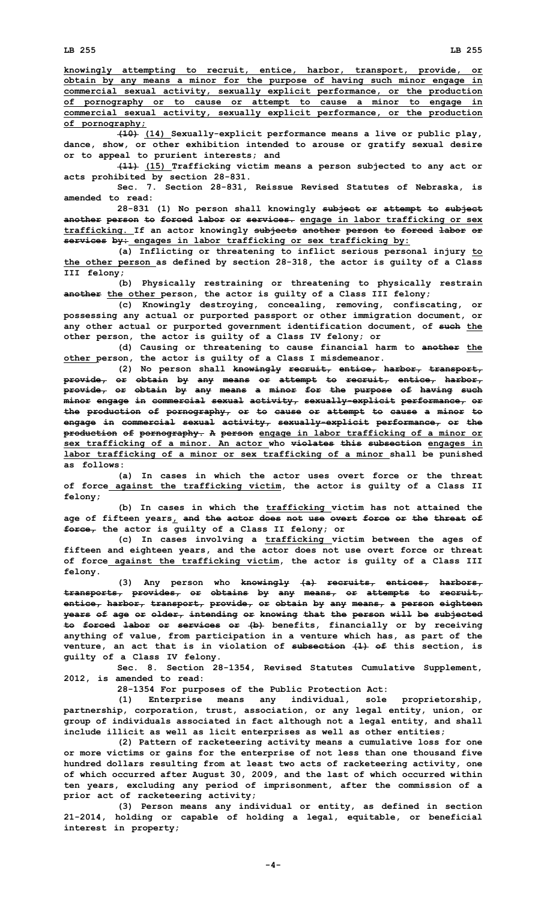**knowingly attempting to recruit, entice, harbor, transport, provide, or obtain by any means <sup>a</sup> minor for the purpose of having such minor engage in commercial sexual activity, sexually explicit performance, or the production of pornography or to cause or attempt to cause <sup>a</sup> minor to engage in commercial sexual activity, sexually explicit performance, or the production of pornography;**

**(10) (14) Sexually-explicit performance means <sup>a</sup> live or public play, dance, show, or other exhibition intended to arouse or gratify sexual desire or to appeal to prurient interests; and**

**(11) (15) Trafficking victim means <sup>a</sup> person subjected to any act or acts prohibited by section 28-831.**

**Sec. 7. Section 28-831, Reissue Revised Statutes of Nebraska, is amended to read:**

**28-831 (1) No person shall knowingly subject or attempt to subject another person to forced labor or services. engage in labor trafficking or sex trafficking. If an actor knowingly subjects another person to forced labor or services by: engages in labor trafficking or sex trafficking by:**

**(a) Inflicting or threatening to inflict serious personal injury to the other person as defined by section 28-318, the actor is guilty of <sup>a</sup> Class III felony;**

**(b) Physically restraining or threatening to physically restrain another the other person, the actor is guilty of <sup>a</sup> Class III felony;**

**(c) Knowingly destroying, concealing, removing, confiscating, or possessing any actual or purported passport or other immigration document, or any other actual or purported government identification document, of such the other person, the actor is guilty of <sup>a</sup> Class IV felony; or**

**(d) Causing or threatening to cause financial harm to another the other person, the actor is guilty of <sup>a</sup> Class I misdemeanor.**

**(2) No person shall knowingly recruit, entice, harbor, transport, provide, or obtain by any means or attempt to recruit, entice, harbor, provide, or obtain by any means <sup>a</sup> minor for the purpose of having such minor engage in commercial sexual activity, sexually-explicit performance, or the production of pornography, or to cause or attempt to cause <sup>a</sup> minor to engage in commercial sexual activity, sexually-explicit performance, or the production of pornography. A person engage in labor trafficking of <sup>a</sup> minor or sex trafficking of <sup>a</sup> minor. An actor who violates this subsection engages in labor trafficking of <sup>a</sup> minor or sex trafficking of <sup>a</sup> minor shall be punished as follows:**

**(a) In cases in which the actor uses overt force or the threat of force against the trafficking victim, the actor is guilty of <sup>a</sup> Class II felony;**

**(b) In cases in which the trafficking victim has not attained the age of fifteen years, and the actor does not use overt force or the threat of force, the actor is guilty of <sup>a</sup> Class II felony; or**

**(c) In cases involving <sup>a</sup> trafficking victim between the ages of fifteen and eighteen years, and the actor does not use overt force or threat of force against the trafficking victim, the actor is guilty of <sup>a</sup> Class III felony.**

**(3) Any person who knowingly (a) recruits, entices, harbors, transports, provides, or obtains by any means, or attempts to recruit, entice, harbor, transport, provide, or obtain by any means, <sup>a</sup> person eighteen years of age or older, intending or knowing that the person will be subjected to forced labor or services or (b) benefits, financially or by receiving anything of value, from participation in <sup>a</sup> venture which has, as part of the venture, an act that is in violation of subsection (1) of this section, is guilty of <sup>a</sup> Class IV felony.**

**Sec. 8. Section 28-1354, Revised Statutes Cumulative Supplement, 2012, is amended to read:**

**28-1354 For purposes of the Public Protection Act:**

**(1) Enterprise means any individual, sole proprietorship, partnership, corporation, trust, association, or any legal entity, union, or group of individuals associated in fact although not <sup>a</sup> legal entity, and shall include illicit as well as licit enterprises as well as other entities;**

**(2) Pattern of racketeering activity means <sup>a</sup> cumulative loss for one or more victims or gains for the enterprise of not less than one thousand five hundred dollars resulting from at least two acts of racketeering activity, one of which occurred after August 30, 2009, and the last of which occurred within ten years, excluding any period of imprisonment, after the commission of <sup>a</sup> prior act of racketeering activity;**

**(3) Person means any individual or entity, as defined in section 21-2014, holding or capable of holding <sup>a</sup> legal, equitable, or beneficial interest in property;**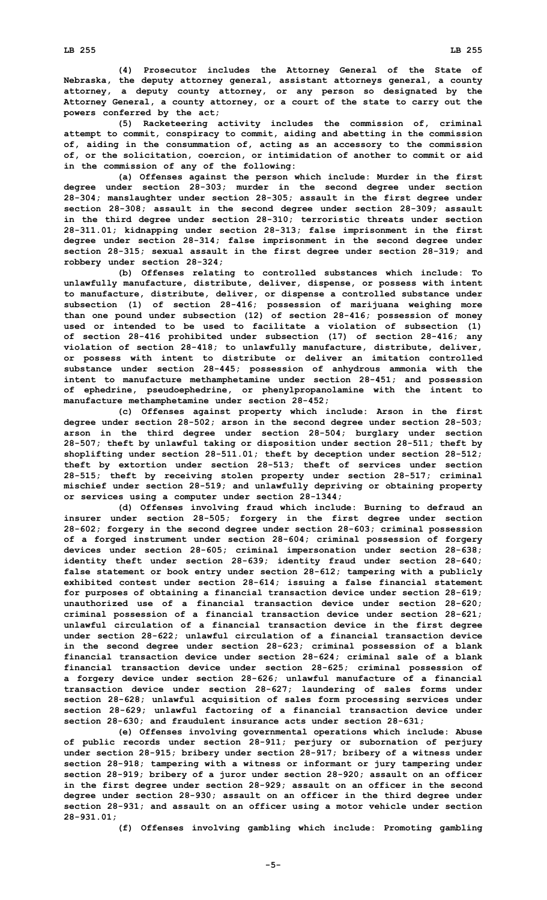**(4) Prosecutor includes the Attorney General of the State of Nebraska, the deputy attorney general, assistant attorneys general, <sup>a</sup> county attorney, <sup>a</sup> deputy county attorney, or any person so designated by the Attorney General, <sup>a</sup> county attorney, or <sup>a</sup> court of the state to carry out the powers conferred by the act;**

**(5) Racketeering activity includes the commission of, criminal attempt to commit, conspiracy to commit, aiding and abetting in the commission of, aiding in the consummation of, acting as an accessory to the commission of, or the solicitation, coercion, or intimidation of another to commit or aid in the commission of any of the following:**

**(a) Offenses against the person which include: Murder in the first degree under section 28-303; murder in the second degree under section 28-304; manslaughter under section 28-305; assault in the first degree under section 28-308; assault in the second degree under section 28-309; assault in the third degree under section 28-310; terroristic threats under section 28-311.01; kidnapping under section 28-313; false imprisonment in the first degree under section 28-314; false imprisonment in the second degree under section 28-315; sexual assault in the first degree under section 28-319; and robbery under section 28-324;**

**(b) Offenses relating to controlled substances which include: To unlawfully manufacture, distribute, deliver, dispense, or possess with intent to manufacture, distribute, deliver, or dispense <sup>a</sup> controlled substance under subsection (1) of section 28-416; possession of marijuana weighing more than one pound under subsection (12) of section 28-416; possession of money used or intended to be used to facilitate <sup>a</sup> violation of subsection (1) of section 28-416 prohibited under subsection (17) of section 28-416; any violation of section 28-418; to unlawfully manufacture, distribute, deliver, or possess with intent to distribute or deliver an imitation controlled substance under section 28-445; possession of anhydrous ammonia with the intent to manufacture methamphetamine under section 28-451; and possession of ephedrine, pseudoephedrine, or phenylpropanolamine with the intent to manufacture methamphetamine under section 28-452;**

**(c) Offenses against property which include: Arson in the first degree under section 28-502; arson in the second degree under section 28-503; arson in the third degree under section 28-504; burglary under section 28-507; theft by unlawful taking or disposition under section 28-511; theft by shoplifting under section 28-511.01; theft by deception under section 28-512; theft by extortion under section 28-513; theft of services under section 28-515; theft by receiving stolen property under section 28-517; criminal mischief under section 28-519; and unlawfully depriving or obtaining property or services using <sup>a</sup> computer under section 28-1344;**

**(d) Offenses involving fraud which include: Burning to defraud an insurer under section 28-505; forgery in the first degree under section 28-602; forgery in the second degree under section 28-603; criminal possession of <sup>a</sup> forged instrument under section 28-604; criminal possession of forgery devices under section 28-605; criminal impersonation under section 28-638; identity theft under section 28-639; identity fraud under section 28-640; false statement or book entry under section 28-612; tampering with <sup>a</sup> publicly exhibited contest under section 28-614; issuing <sup>a</sup> false financial statement for purposes of obtaining <sup>a</sup> financial transaction device under section 28-619; unauthorized use of <sup>a</sup> financial transaction device under section 28-620; criminal possession of <sup>a</sup> financial transaction device under section 28-621; unlawful circulation of <sup>a</sup> financial transaction device in the first degree under section 28-622; unlawful circulation of <sup>a</sup> financial transaction device in the second degree under section 28-623; criminal possession of <sup>a</sup> blank financial transaction device under section 28-624; criminal sale of <sup>a</sup> blank financial transaction device under section 28-625; criminal possession of <sup>a</sup> forgery device under section 28-626; unlawful manufacture of <sup>a</sup> financial transaction device under section 28-627; laundering of sales forms under section 28-628; unlawful acquisition of sales form processing services under section 28-629; unlawful factoring of <sup>a</sup> financial transaction device under section 28-630; and fraudulent insurance acts under section 28-631;**

**(e) Offenses involving governmental operations which include: Abuse of public records under section 28-911; perjury or subornation of perjury under section 28-915; bribery under section 28-917; bribery of <sup>a</sup> witness under section 28-918; tampering with <sup>a</sup> witness or informant or jury tampering under section 28-919; bribery of <sup>a</sup> juror under section 28-920; assault on an officer in the first degree under section 28-929; assault on an officer in the second degree under section 28-930; assault on an officer in the third degree under section 28-931; and assault on an officer using <sup>a</sup> motor vehicle under section 28-931.01;**

**(f) Offenses involving gambling which include: Promoting gambling**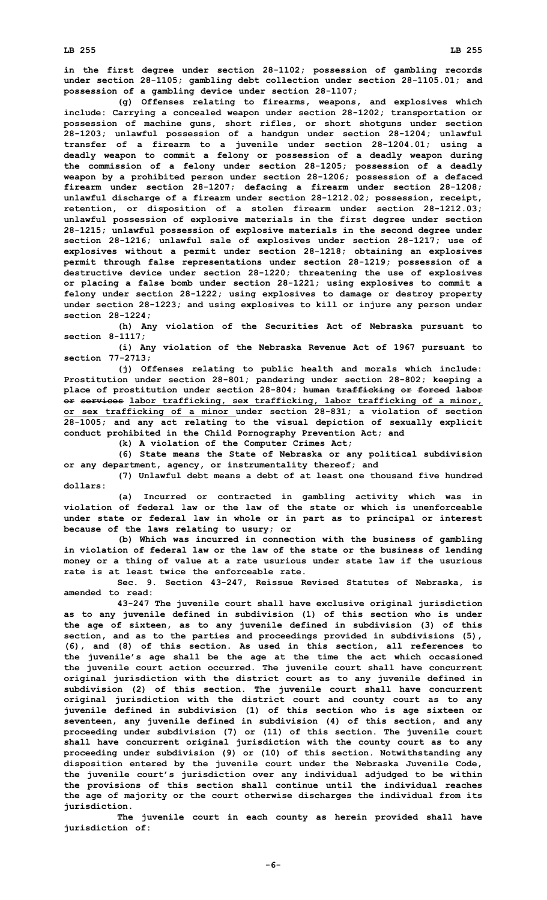**in the first degree under section 28-1102; possession of gambling records under section 28-1105; gambling debt collection under section 28-1105.01; and possession of <sup>a</sup> gambling device under section 28-1107;**

**(g) Offenses relating to firearms, weapons, and explosives which include: Carrying <sup>a</sup> concealed weapon under section 28-1202; transportation or possession of machine guns, short rifles, or short shotguns under section 28-1203; unlawful possession of <sup>a</sup> handgun under section 28-1204; unlawful transfer of <sup>a</sup> firearm to <sup>a</sup> juvenile under section 28-1204.01; using <sup>a</sup> deadly weapon to commit <sup>a</sup> felony or possession of <sup>a</sup> deadly weapon during the commission of <sup>a</sup> felony under section 28-1205; possession of <sup>a</sup> deadly weapon by <sup>a</sup> prohibited person under section 28-1206; possession of <sup>a</sup> defaced firearm under section 28-1207; defacing <sup>a</sup> firearm under section 28-1208; unlawful discharge of <sup>a</sup> firearm under section 28-1212.02; possession, receipt, retention, or disposition of <sup>a</sup> stolen firearm under section 28-1212.03; unlawful possession of explosive materials in the first degree under section 28-1215; unlawful possession of explosive materials in the second degree under section 28-1216; unlawful sale of explosives under section 28-1217; use of explosives without <sup>a</sup> permit under section 28-1218; obtaining an explosives permit through false representations under section 28-1219; possession of <sup>a</sup> destructive device under section 28-1220; threatening the use of explosives or placing <sup>a</sup> false bomb under section 28-1221; using explosives to commit <sup>a</sup> felony under section 28-1222; using explosives to damage or destroy property under section 28-1223; and using explosives to kill or injure any person under section 28-1224;**

**(h) Any violation of the Securities Act of Nebraska pursuant to section 8-1117;**

**(i) Any violation of the Nebraska Revenue Act of 1967 pursuant to section 77-2713;**

**(j) Offenses relating to public health and morals which include: Prostitution under section 28-801; pandering under section 28-802; keeping <sup>a</sup> place of prostitution under section 28-804; human trafficking or forced labor or services labor trafficking, sex trafficking, labor trafficking of <sup>a</sup> minor, or sex trafficking of <sup>a</sup> minor under section 28-831; <sup>a</sup> violation of section 28-1005; and any act relating to the visual depiction of sexually explicit conduct prohibited in the Child Pornography Prevention Act; and**

**(k) <sup>A</sup> violation of the Computer Crimes Act;**

**(6) State means the State of Nebraska or any political subdivision or any department, agency, or instrumentality thereof; and**

**(7) Unlawful debt means <sup>a</sup> debt of at least one thousand five hundred dollars:**

**(a) Incurred or contracted in gambling activity which was in violation of federal law or the law of the state or which is unenforceable under state or federal law in whole or in part as to principal or interest because of the laws relating to usury; or**

**(b) Which was incurred in connection with the business of gambling in violation of federal law or the law of the state or the business of lending money or <sup>a</sup> thing of value at <sup>a</sup> rate usurious under state law if the usurious rate is at least twice the enforceable rate.**

**Sec. 9. Section 43-247, Reissue Revised Statutes of Nebraska, is amended to read:**

**43-247 The juvenile court shall have exclusive original jurisdiction as to any juvenile defined in subdivision (1) of this section who is under the age of sixteen, as to any juvenile defined in subdivision (3) of this section, and as to the parties and proceedings provided in subdivisions (5), (6), and (8) of this section. As used in this section, all references to the juvenile's age shall be the age at the time the act which occasioned the juvenile court action occurred. The juvenile court shall have concurrent original jurisdiction with the district court as to any juvenile defined in subdivision (2) of this section. The juvenile court shall have concurrent original jurisdiction with the district court and county court as to any juvenile defined in subdivision (1) of this section who is age sixteen or seventeen, any juvenile defined in subdivision (4) of this section, and any proceeding under subdivision (7) or (11) of this section. The juvenile court shall have concurrent original jurisdiction with the county court as to any proceeding under subdivision (9) or (10) of this section. Notwithstanding any disposition entered by the juvenile court under the Nebraska Juvenile Code, the juvenile court's jurisdiction over any individual adjudged to be within the provisions of this section shall continue until the individual reaches the age of majority or the court otherwise discharges the individual from its jurisdiction.**

**The juvenile court in each county as herein provided shall have jurisdiction of:**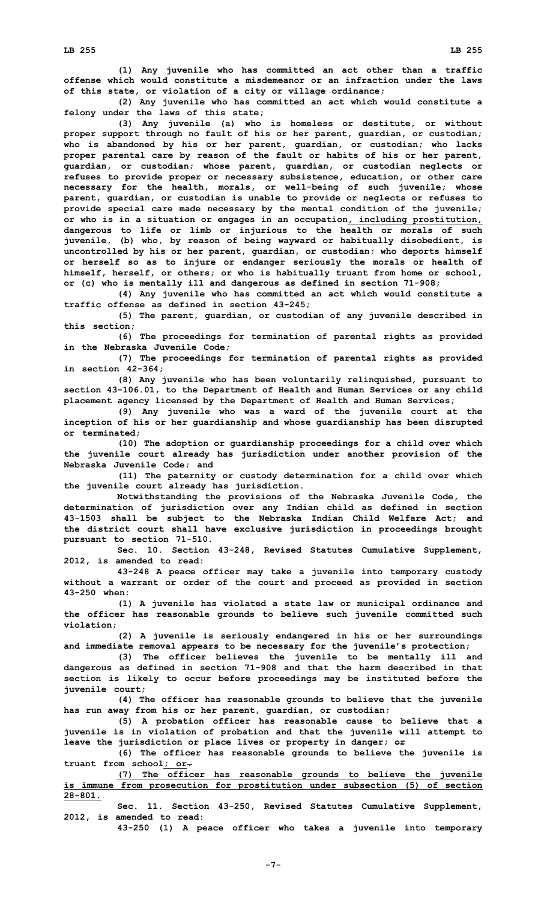**(1) Any juvenile who has committed an act other than <sup>a</sup> traffic offense which would constitute a misdemeanor or an infraction under the laws of this state, or violation of <sup>a</sup> city or village ordinance;**

**(2) Any juvenile who has committed an act which would constitute <sup>a</sup> felony under the laws of this state;**

**(3) Any juvenile (a) who is homeless or destitute, or without proper support through no fault of his or her parent, guardian, or custodian; who is abandoned by his or her parent, guardian, or custodian; who lacks proper parental care by reason of the fault or habits of his or her parent, guardian, or custodian; whose parent, guardian, or custodian neglects or refuses to provide proper or necessary subsistence, education, or other care necessary for the health, morals, or well-being of such juvenile; whose parent, guardian, or custodian is unable to provide or neglects or refuses to provide special care made necessary by the mental condition of the juvenile; or who is in <sup>a</sup> situation or engages in an occupation, including prostitution, dangerous to life or limb or injurious to the health or morals of such juvenile, (b) who, by reason of being wayward or habitually disobedient, is uncontrolled by his or her parent, guardian, or custodian; who deports himself or herself so as to injure or endanger seriously the morals or health of himself, herself, or others; or who is habitually truant from home or school, or (c) who is mentally ill and dangerous as defined in section 71-908;**

**(4) Any juvenile who has committed an act which would constitute <sup>a</sup> traffic offense as defined in section 43-245;**

**(5) The parent, guardian, or custodian of any juvenile described in this section;**

**(6) The proceedings for termination of parental rights as provided in the Nebraska Juvenile Code;**

**(7) The proceedings for termination of parental rights as provided in section 42-364;**

**(8) Any juvenile who has been voluntarily relinquished, pursuant to section 43-106.01, to the Department of Health and Human Services or any child placement agency licensed by the Department of Health and Human Services;**

**(9) Any juvenile who was <sup>a</sup> ward of the juvenile court at the inception of his or her guardianship and whose guardianship has been disrupted or terminated;**

**(10) The adoption or guardianship proceedings for <sup>a</sup> child over which the juvenile court already has jurisdiction under another provision of the Nebraska Juvenile Code; and**

**(11) The paternity or custody determination for <sup>a</sup> child over which the juvenile court already has jurisdiction.**

**Notwithstanding the provisions of the Nebraska Juvenile Code, the determination of jurisdiction over any Indian child as defined in section 43-1503 shall be subject to the Nebraska Indian Child Welfare Act; and the district court shall have exclusive jurisdiction in proceedings brought pursuant to section 71-510.**

**Sec. 10. Section 43-248, Revised Statutes Cumulative Supplement, 2012, is amended to read:**

**43-248 <sup>A</sup> peace officer may take <sup>a</sup> juvenile into temporary custody without <sup>a</sup> warrant or order of the court and proceed as provided in section 43-250 when:**

**(1) <sup>A</sup> juvenile has violated <sup>a</sup> state law or municipal ordinance and the officer has reasonable grounds to believe such juvenile committed such violation;**

**(2) <sup>A</sup> juvenile is seriously endangered in his or her surroundings and immediate removal appears to be necessary for the juvenile's protection;**

**(3) The officer believes the juvenile to be mentally ill and dangerous as defined in section 71-908 and that the harm described in that section is likely to occur before proceedings may be instituted before the juvenile court;**

**(4) The officer has reasonable grounds to believe that the juvenile has run away from his or her parent, guardian, or custodian;**

**(5) <sup>A</sup> probation officer has reasonable cause to believe that <sup>a</sup> juvenile is in violation of probation and that the juvenile will attempt to leave the jurisdiction or place lives or property in danger; or**

**(6) The officer has reasonable grounds to believe the juvenile is truant from school; or.**

**(7) The officer has reasonable grounds to believe the juvenile is immune from prosecution for prostitution under subsection (5) of section 28-801.**

**Sec. 11. Section 43-250, Revised Statutes Cumulative Supplement, 2012, is amended to read:**

**43-250 (1) <sup>A</sup> peace officer who takes <sup>a</sup> juvenile into temporary**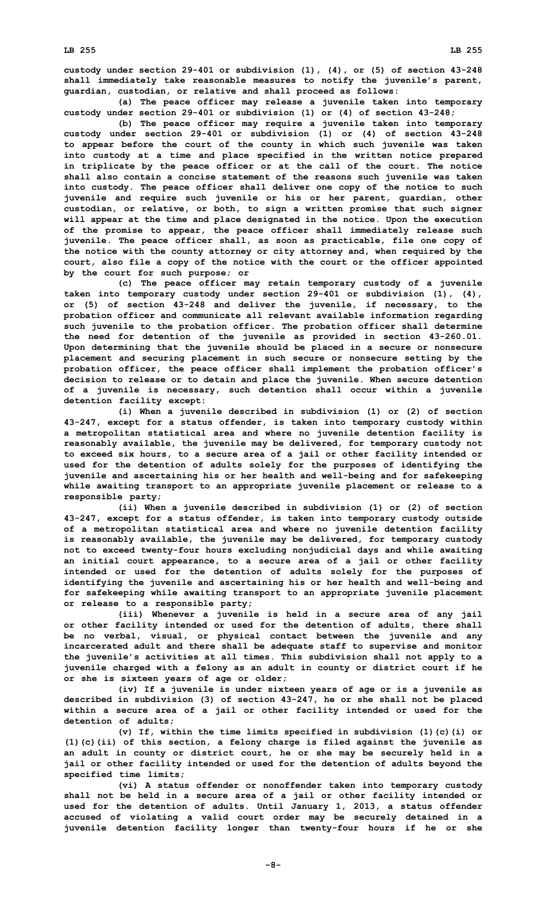**custody under section 29-401 or subdivision (1), (4), or (5) of section 43-248 shall immediately take reasonable measures to notify the juvenile's parent, guardian, custodian, or relative and shall proceed as follows:**

**(a) The peace officer may release <sup>a</sup> juvenile taken into temporary custody under section 29-401 or subdivision (1) or (4) of section 43-248;**

**(b) The peace officer may require <sup>a</sup> juvenile taken into temporary custody under section 29-401 or subdivision (1) or (4) of section 43-248 to appear before the court of the county in which such juvenile was taken into custody at <sup>a</sup> time and place specified in the written notice prepared in triplicate by the peace officer or at the call of the court. The notice shall also contain <sup>a</sup> concise statement of the reasons such juvenile was taken into custody. The peace officer shall deliver one copy of the notice to such juvenile and require such juvenile or his or her parent, guardian, other custodian, or relative, or both, to sign <sup>a</sup> written promise that such signer will appear at the time and place designated in the notice. Upon the execution of the promise to appear, the peace officer shall immediately release such juvenile. The peace officer shall, as soon as practicable, file one copy of the notice with the county attorney or city attorney and, when required by the court, also file <sup>a</sup> copy of the notice with the court or the officer appointed by the court for such purpose; or**

**(c) The peace officer may retain temporary custody of <sup>a</sup> juvenile taken into temporary custody under section 29-401 or subdivision (1), (4), or (5) of section 43-248 and deliver the juvenile, if necessary, to the probation officer and communicate all relevant available information regarding such juvenile to the probation officer. The probation officer shall determine the need for detention of the juvenile as provided in section 43-260.01. Upon determining that the juvenile should be placed in <sup>a</sup> secure or nonsecure placement and securing placement in such secure or nonsecure setting by the probation officer, the peace officer shall implement the probation officer's decision to release or to detain and place the juvenile. When secure detention of <sup>a</sup> juvenile is necessary, such detention shall occur within <sup>a</sup> juvenile detention facility except:**

**(i) When <sup>a</sup> juvenile described in subdivision (1) or (2) of section 43-247, except for <sup>a</sup> status offender, is taken into temporary custody within <sup>a</sup> metropolitan statistical area and where no juvenile detention facility is reasonably available, the juvenile may be delivered, for temporary custody not to exceed six hours, to <sup>a</sup> secure area of <sup>a</sup> jail or other facility intended or used for the detention of adults solely for the purposes of identifying the juvenile and ascertaining his or her health and well-being and for safekeeping while awaiting transport to an appropriate juvenile placement or release to <sup>a</sup> responsible party;**

**(ii) When <sup>a</sup> juvenile described in subdivision (1) or (2) of section 43-247, except for <sup>a</sup> status offender, is taken into temporary custody outside of <sup>a</sup> metropolitan statistical area and where no juvenile detention facility is reasonably available, the juvenile may be delivered, for temporary custody not to exceed twenty-four hours excluding nonjudicial days and while awaiting an initial court appearance, to <sup>a</sup> secure area of <sup>a</sup> jail or other facility intended or used for the detention of adults solely for the purposes of identifying the juvenile and ascertaining his or her health and well-being and for safekeeping while awaiting transport to an appropriate juvenile placement or release to <sup>a</sup> responsible party;**

**(iii) Whenever <sup>a</sup> juvenile is held in <sup>a</sup> secure area of any jail or other facility intended or used for the detention of adults, there shall be no verbal, visual, or physical contact between the juvenile and any incarcerated adult and there shall be adequate staff to supervise and monitor the juvenile's activities at all times. This subdivision shall not apply to <sup>a</sup> juvenile charged with <sup>a</sup> felony as an adult in county or district court if he or she is sixteen years of age or older;**

**(iv) If <sup>a</sup> juvenile is under sixteen years of age or is <sup>a</sup> juvenile as described in subdivision (3) of section 43-247, he or she shall not be placed within <sup>a</sup> secure area of <sup>a</sup> jail or other facility intended or used for the detention of adults;**

**(v) If, within the time limits specified in subdivision (1)(c)(i) or (1)(c)(ii) of this section, <sup>a</sup> felony charge is filed against the juvenile as an adult in county or district court, he or she may be securely held in <sup>a</sup> jail or other facility intended or used for the detention of adults beyond the specified time limits;**

**(vi) <sup>A</sup> status offender or nonoffender taken into temporary custody shall not be held in <sup>a</sup> secure area of <sup>a</sup> jail or other facility intended or used for the detention of adults. Until January 1, 2013, <sup>a</sup> status offender accused of violating <sup>a</sup> valid court order may be securely detained in <sup>a</sup> juvenile detention facility longer than twenty-four hours if he or she**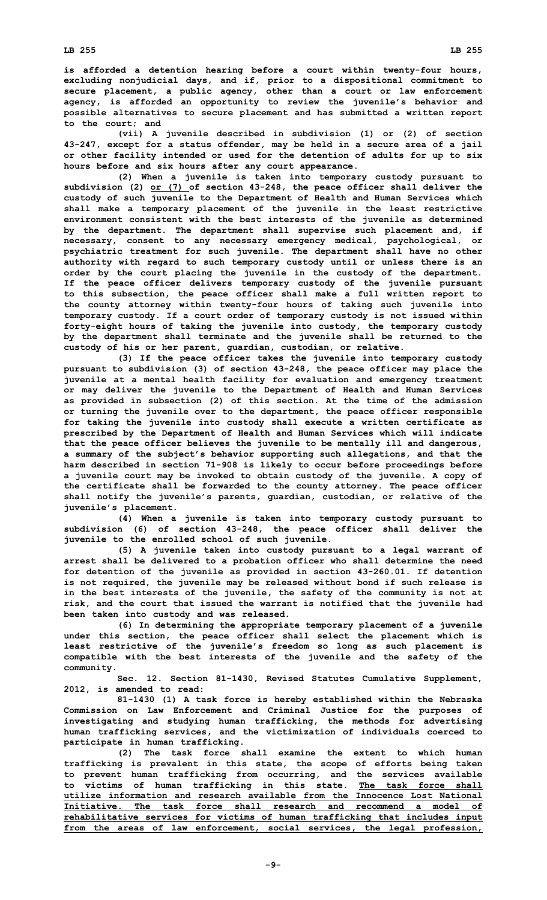**is afforded <sup>a</sup> detention hearing before <sup>a</sup> court within twenty-four hours, excluding nonjudicial days, and if, prior to <sup>a</sup> dispositional commitment to secure placement, <sup>a</sup> public agency, other than <sup>a</sup> court or law enforcement agency, is afforded an opportunity to review the juvenile's behavior and possible alternatives to secure placement and has submitted <sup>a</sup> written report to the court; and**

**(vii) <sup>A</sup> juvenile described in subdivision (1) or (2) of section 43-247, except for <sup>a</sup> status offender, may be held in <sup>a</sup> secure area of <sup>a</sup> jail or other facility intended or used for the detention of adults for up to six hours before and six hours after any court appearance.**

**(2) When <sup>a</sup> juvenile is taken into temporary custody pursuant to subdivision (2) or (7) of section 43-248, the peace officer shall deliver the custody of such juvenile to the Department of Health and Human Services which shall make <sup>a</sup> temporary placement of the juvenile in the least restrictive environment consistent with the best interests of the juvenile as determined by the department. The department shall supervise such placement and, if necessary, consent to any necessary emergency medical, psychological, or psychiatric treatment for such juvenile. The department shall have no other authority with regard to such temporary custody until or unless there is an order by the court placing the juvenile in the custody of the department. If the peace officer delivers temporary custody of the juvenile pursuant to this subsection, the peace officer shall make <sup>a</sup> full written report to the county attorney within twenty-four hours of taking such juvenile into temporary custody. If <sup>a</sup> court order of temporary custody is not issued within forty-eight hours of taking the juvenile into custody, the temporary custody by the department shall terminate and the juvenile shall be returned to the custody of his or her parent, guardian, custodian, or relative.**

**(3) If the peace officer takes the juvenile into temporary custody pursuant to subdivision (3) of section 43-248, the peace officer may place the juvenile at <sup>a</sup> mental health facility for evaluation and emergency treatment or may deliver the juvenile to the Department of Health and Human Services as provided in subsection (2) of this section. At the time of the admission or turning the juvenile over to the department, the peace officer responsible for taking the juvenile into custody shall execute <sup>a</sup> written certificate as prescribed by the Department of Health and Human Services which will indicate that the peace officer believes the juvenile to be mentally ill and dangerous, <sup>a</sup> summary of the subject's behavior supporting such allegations, and that the harm described in section 71-908 is likely to occur before proceedings before <sup>a</sup> juvenile court may be invoked to obtain custody of the juvenile. A copy of the certificate shall be forwarded to the county attorney. The peace officer shall notify the juvenile's parents, guardian, custodian, or relative of the juvenile's placement.**

**(4) When <sup>a</sup> juvenile is taken into temporary custody pursuant to subdivision (6) of section 43-248, the peace officer shall deliver the juvenile to the enrolled school of such juvenile.**

**(5) <sup>A</sup> juvenile taken into custody pursuant to <sup>a</sup> legal warrant of arrest shall be delivered to <sup>a</sup> probation officer who shall determine the need for detention of the juvenile as provided in section 43-260.01. If detention is not required, the juvenile may be released without bond if such release is in the best interests of the juvenile, the safety of the community is not at risk, and the court that issued the warrant is notified that the juvenile had been taken into custody and was released.**

**(6) In determining the appropriate temporary placement of <sup>a</sup> juvenile under this section, the peace officer shall select the placement which is least restrictive of the juvenile's freedom so long as such placement is compatible with the best interests of the juvenile and the safety of the community.**

**Sec. 12. Section 81-1430, Revised Statutes Cumulative Supplement, 2012, is amended to read:**

**81-1430 (1) <sup>A</sup> task force is hereby established within the Nebraska Commission on Law Enforcement and Criminal Justice for the purposes of investigating and studying human trafficking, the methods for advertising human trafficking services, and the victimization of individuals coerced to participate in human trafficking.**

**(2) The task force shall examine the extent to which human trafficking is prevalent in this state, the scope of efforts being taken to prevent human trafficking from occurring, and the services available to victims of human trafficking in this state. The task force shall utilize information and research available from the Innocence Lost National Initiative. The task force shall research and recommend a model of rehabilitative services for victims of human trafficking that includes input from the areas of law enforcement, social services, the legal profession,**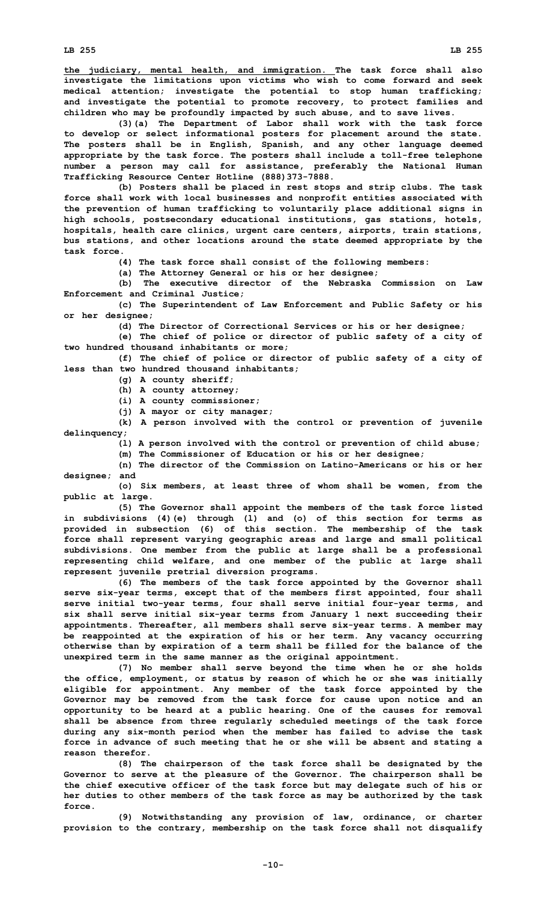**investigate the limitations upon victims who wish to come forward and seek medical attention; investigate the potential to stop human trafficking; and investigate the potential to promote recovery, to protect families and children who may be profoundly impacted by such abuse, and to save lives.**

**(3)(a) The Department of Labor shall work with the task force to develop or select informational posters for placement around the state. The posters shall be in English, Spanish, and any other language deemed appropriate by the task force. The posters shall include <sup>a</sup> toll-free telephone number <sup>a</sup> person may call for assistance, preferably the National Human Trafficking Resource Center Hotline (888)373-7888.**

**(b) Posters shall be placed in rest stops and strip clubs. The task force shall work with local businesses and nonprofit entities associated with the prevention of human trafficking to voluntarily place additional signs in high schools, postsecondary educational institutions, gas stations, hotels, hospitals, health care clinics, urgent care centers, airports, train stations, bus stations, and other locations around the state deemed appropriate by the task force.**

**(4) The task force shall consist of the following members:**

**(a) The Attorney General or his or her designee;**

**(b) The executive director of the Nebraska Commission on Law Enforcement and Criminal Justice;**

**(c) The Superintendent of Law Enforcement and Public Safety or his or her designee;**

**(d) The Director of Correctional Services or his or her designee;**

**(e) The chief of police or director of public safety of <sup>a</sup> city of two hundred thousand inhabitants or more;**

**(f) The chief of police or director of public safety of <sup>a</sup> city of less than two hundred thousand inhabitants;**

- **(g) <sup>A</sup> county sheriff;**
- **(h) <sup>A</sup> county attorney;**
- **(i) <sup>A</sup> county commissioner;**
- **(j) <sup>A</sup> mayor or city manager;**

**(k) <sup>A</sup> person involved with the control or prevention of juvenile delinquency;**

**(l) <sup>A</sup> person involved with the control or prevention of child abuse;**

**(m) The Commissioner of Education or his or her designee;**

**(n) The director of the Commission on Latino-Americans or his or her designee; and**

**(o) Six members, at least three of whom shall be women, from the public at large.**

**(5) The Governor shall appoint the members of the task force listed in subdivisions (4)(e) through (l) and (o) of this section for terms as provided in subsection (6) of this section. The membership of the task force shall represent varying geographic areas and large and small political subdivisions. One member from the public at large shall be <sup>a</sup> professional representing child welfare, and one member of the public at large shall represent juvenile pretrial diversion programs.**

**(6) The members of the task force appointed by the Governor shall serve six-year terms, except that of the members first appointed, four shall serve initial two-year terms, four shall serve initial four-year terms, and six shall serve initial six-year terms from January 1 next succeeding their appointments. Thereafter, all members shall serve six-year terms. A member may be reappointed at the expiration of his or her term. Any vacancy occurring otherwise than by expiration of <sup>a</sup> term shall be filled for the balance of the unexpired term in the same manner as the original appointment.**

**(7) No member shall serve beyond the time when he or she holds the office, employment, or status by reason of which he or she was initially eligible for appointment. Any member of the task force appointed by the Governor may be removed from the task force for cause upon notice and an opportunity to be heard at <sup>a</sup> public hearing. One of the causes for removal shall be absence from three regularly scheduled meetings of the task force during any six-month period when the member has failed to advise the task force in advance of such meeting that he or she will be absent and stating <sup>a</sup> reason therefor.**

**(8) The chairperson of the task force shall be designated by the Governor to serve at the pleasure of the Governor. The chairperson shall be the chief executive officer of the task force but may delegate such of his or her duties to other members of the task force as may be authorized by the task force.**

**(9) Notwithstanding any provision of law, ordinance, or charter provision to the contrary, membership on the task force shall not disqualify**